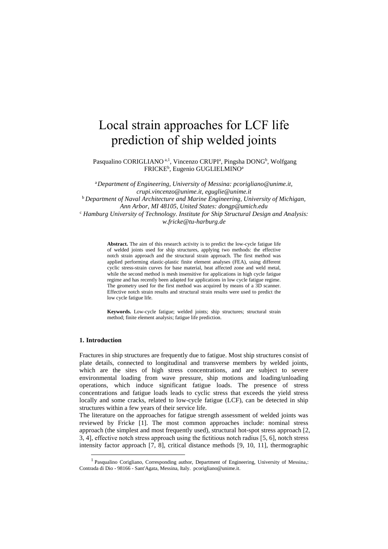# Local strain approaches for LCF life prediction of ship welded joints

Pasqualino CORIGLIANO<sup>a, 1</sup>, Vincenzo CRUPI<sup>a</sup>, Pingsha DONG<sup>b</sup>, Wolfgang FRICKE<sup>b</sup>, Eugenio GUGLIELMINO<sup>a</sup>

<sup>a</sup>*Department of Engineering, University of Messina: pcorigliano@unime.it, crupi.vincenzo@unime.it, eguglie@unime.it* <sup>b</sup>*Department of Naval Architecture and Marine Engineering, University of Michigan, Ann Arbor, MI 48105, United States: dongp@umich.edu* <sup>c</sup> *Hamburg University of Technology. Institute for Ship Structural Design and Analysis: w.fricke@tu-harburg.de*

> **Abstract.** The aim of this research activity is to predict the low-cycle fatigue life of welded joints used for ship structures, applying two methods: the effective notch strain approach and the structural strain approach. The first method was applied performing elastic-plastic finite element analyses (FEA), using different cyclic stress-strain curves for base material, heat affected zone and weld metal, while the second method is mesh insensitive for applications in high cycle fatigue regime and has recently been adapted for applications in low cycle fatigue regime. The geometry used for the first method was acquired by means of a 3D scanner. Effective notch strain results and structural strain results were used to predict the low cycle fatigue life.

> **Keywords.** Low-cycle fatigue; welded joints; ship structures; structural strain method; finite element analysis; fatigue life prediction.

### **1. Introduction**

-

Fractures in ship structures are frequently due to fatigue. Most ship structures consist of plate details, connected to longitudinal and transverse members by welded joints, which are the sites of high stress concentrations, and are subject to severe environmental loading from wave pressure, ship motions and loading/unloading operations, which induce significant fatigue loads. The presence of stress concentrations and fatigue loads leads to cyclic stress that exceeds the yield stress locally and some cracks, related to low-cycle fatigue (LCF), can be detected in ship structures within a few years of their service life.

The literature on the approaches for fatigue strength assessment of welded joints was reviewed by Fricke [1]. The most common approaches include: nominal stress approach (the simplest and most frequently used), structural hot-spot stress approach [2, 3, 4], effective notch stress approach using the fictitious notch radius [5, 6], notch stress intensity factor approach [7, 8], critical distance methods [9, 10, 11], thermographic

<sup>&</sup>lt;sup>1</sup> Pasqualino Corigliano, Corresponding author, Department of Engineering, University of Messina,: Contrada di Dio - 98166 - Sant'Agata, Messina, Italy. pcorigliano@unime.it.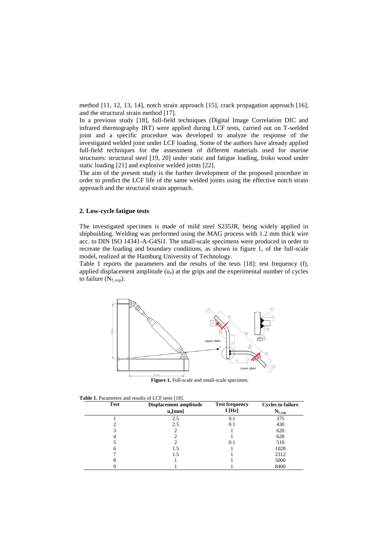method [11, 12, 13, 14], notch strain approach [15], crack propagation approach [16], and the structural strain method [17].

In a previous study [18], full-field techniques (Digital Image Correlation DIC and infrared thermography IRT) were applied during LCF tests, carried out on T-welded joint and a specific procedure was developed to analyze the response of the investigated welded joint under LCF loading. Some of the authors have already applied full-field techniques for the assessment of different materials used for marine structures: structural steel [19, 20] under static and fatigue loading, Iroko wood under static loading [21] and explosive welded joints [22].

The aim of the present study is the further development of the proposed procedure in order to predict the LCF life of the same welded joints using the effective notch strain approach and the structural strain approach.

# **2. Low-cycle fatigue tests**

The investigated specimen is made of mild steel S235JR, being widely applied in shipbuilding. Welding was performed using the MAG process with 1.2 mm thick wire acc. to DIN ISO 14341-A-G4Si1. The small-scale specimens were produced in order to recreate the loading and boundary conditions, as shown in figure 1, of the full-scale model, realized at the Hamburg University of Technology.

Table 1 reports the parameters and the results of the tests [18]: test frequency (f), applied displacement amplitude  $(u_a)$  at the grips and the experimental number of cycles to failure  $(N_{f\_exp})$ .



**Figure 1.** Full-scale and small-scale specimen.

|  | <b>Table 1.</b> Parameters and results of LCF tests [18]. |  |  |  |  |  |  |  |
|--|-----------------------------------------------------------|--|--|--|--|--|--|--|
|--|-----------------------------------------------------------|--|--|--|--|--|--|--|

| <b>Test</b> | Displacement amplitude | <b>Test frequency</b> | <b>Cycles to failure</b> |
|-------------|------------------------|-----------------------|--------------------------|
|             | $u_{a}$ [mm]           | f[Hz]                 | $N_{f_{exp}}$            |
|             | 2.5                    | 0.1                   | 375                      |
|             | 2.5                    | 0.1                   | 430                      |
|             |                        |                       | 620                      |
|             |                        |                       | 628                      |
|             |                        | 0.1                   | 510                      |
| h           | 1.5                    |                       | 1028                     |
|             | 1.5                    |                       | 2312                     |
|             |                        |                       | 5000                     |
|             |                        |                       | 8400                     |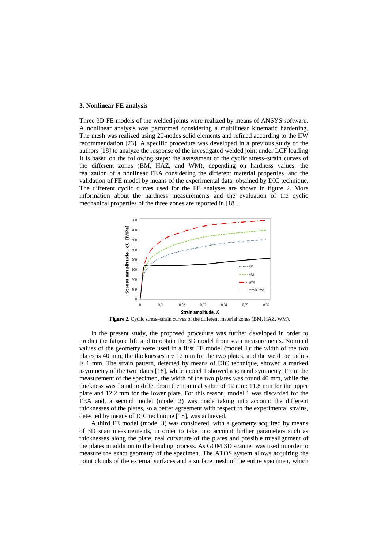#### **3. Nonlinear FE analysis**

Three 3D FE models of the welded joints were realized by means of ANSYS software. A nonlinear analysis was performed considering a multilinear kinematic hardening. The mesh was realized using 20-nodes solid elements and refined according to the IIW recommendation [23]. A specific procedure was developed in a previous study of the authors [18] to analyze the response of the investigated welded joint under LCF loading. It is based on the following steps: the assessment of the cyclic stress–strain curves of the different zones (BM, HAZ, and WM), depending on hardness values, the realization of a nonlinear FEA considering the different material properties, and the validation of FE model by means of the experimental data, obtained by DIC technique. The different cyclic curves used for the FE analyses are shown in figure 2. More information about the hardness measurements and the evaluation of the cyclic mechanical properties of the three zones are reported in [18].



Figure 2. Cyclic stress–strain curves of the different material zones (BM, HAZ, WM).

In the present study, the proposed procedure was further developed in order to predict the fatigue life and to obtain the 3D model from scan measurements. Nominal values of the geometry were used in a first FE model (model 1): the width of the two plates is 40 mm, the thicknesses are 12 mm for the two plates, and the weld toe radius is 1 mm. The strain pattern, detected by means of DIC technique, showed a marked asymmetry of the two plates [18], while model 1 showed a general symmetry. From the measurement of the specimen, the width of the two plates was found 40 mm, while the thickness was found to differ from the nominal value of 12 mm: 11.8 mm for the upper plate and 12.2 mm for the lower plate. For this reason, model 1 was discarded for the FEA and, a second model (model 2) was made taking into account the different thicknesses of the plates, so a better agreement with respect to the experimental strains, detected by means of DIC technique [18], was achieved.

A third FE model (model 3) was considered, with a geometry acquired by means of 3D scan measurements, in order to take into account further parameters such as thicknesses along the plate, real curvature of the plates and possible misalignment of the plates in addition to the bending process. As GOM 3D scanner was used in order to measure the exact geometry of the specimen. The ATOS system allows acquiring the point clouds of the external surfaces and a surface mesh of the entire specimen, which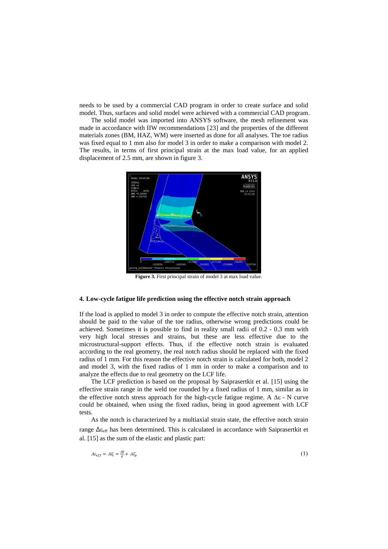needs to be used by a commercial CAD program in order to create surface and solid model. Thus, surfaces and solid model were achieved with a commercial CAD program.

The solid model was imported into ANSYS software, the mesh refinement was made in accordance with IIW recommendations [23] and the properties of the different materials zones (BM, HAZ, WM) were inserted as done for all analyses. The toe radius was fixed equal to 1 mm also for model 3 in order to make a comparison with model 2. The results, in terms of first principal strain at the max load value, for an applied displacement of 2.5 mm, are shown in figure 3.



**Figure 3.** First principal strain of model 3 at max load value.

# **4. Low-cycle fatigue life prediction using the effective notch strain approach**

If the load is applied to model 3 in order to compute the effective notch strain, attention should be paid to the value of the toe radius, otherwise wrong predictions could be achieved. Sometimes it is possible to find in reality small radii of 0.2 - 0.3 mm with very high local stresses and strains, but these are less effective due to the microstructural-support effects. Thus, if the effective notch strain is evaluated according to the real geometry, the real notch radius should be replaced with the fixed radius of 1 mm. For this reason the effective notch strain is calculated for both, model 2 and model 3, with the fixed radius of 1 mm in order to make a comparison and to analyze the effects due to real geometry on the LCF life.

The LCF prediction is based on the proposal by Saiprasertkit et al. [15] using the effective strain range in the weld toe rounded by a fixed radius of 1 mm, similar as in the effective notch stress approach for the high-cycle fatigue regime. A  $\Delta \varepsilon$  - N curve could be obtained, when using the fixed radius, being in good agreement with LCF tests.

As the notch is characterized by a multiaxial strain state, the effective notch strain range  $\Delta \epsilon_{\text{eff}}$  has been determined. This is calculated in accordance with Saiprasertkit et al. [15] as the sum of the elastic and plastic part:

$$
\Delta \varepsilon_{eff} = \Delta \overline{\varepsilon}_t = \frac{\Delta \overline{\sigma}}{E} + \Delta \overline{\varepsilon}_p \tag{1}
$$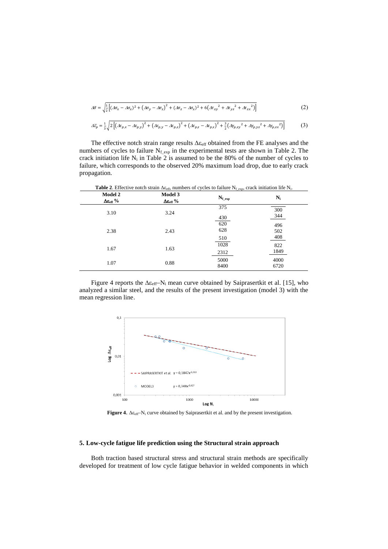$$
\Delta \bar{\sigma} = \sqrt{\frac{1}{2} \left[ (\Delta \sigma_x - \Delta \sigma_x)^2 + (\Delta \sigma_y - \Delta \sigma_z)^2 + (\Delta \sigma_z - \Delta \sigma_x)^2 + 6(\Delta \tau_{xy}^2 + \Delta \tau_{yz}^2 + \Delta \tau_{zx}^2) \right]}
$$
(2)

$$
\Delta \bar{\varepsilon}_p = \frac{1}{3} \sqrt{2 \left[ \left( \Delta \varepsilon_{p,x} - \Delta \varepsilon_{p,y} \right)^2 + \left( \Delta \varepsilon_{p,y} - \Delta \varepsilon_{p,z} \right)^2 + \left( \Delta \varepsilon_{p,z} - \Delta \varepsilon_{p,x} \right)^2 + \frac{3}{2} \left( \Delta \gamma_{p,xy}^2 + \Delta \gamma_{p,yz}^2 + \Delta \gamma_{p,zx}^2 \right) \right]}
$$
(3)

The effective notch strain range results  $\Delta \varepsilon_{\rm eff}$  obtained from the FE analyses and the numbers of cycles to failure  $N_{f_{exp}}$  in the experimental tests are shown in Table 2. The crack initiation life  $N_i$  in Table 2 is assumed to be the 80% of the number of cycles to failure, which corresponds to the observed 20% maximum load drop, due to early crack propagation.

| <b>Table 2.</b> Effective notch strain $\Delta \varepsilon_{\rm eff}$ , numbers of cycles to failure N <sub>fexp</sub> , crack initiation life N <sub>i</sub> . |                                          |                        |                   |  |  |
|-----------------------------------------------------------------------------------------------------------------------------------------------------------------|------------------------------------------|------------------------|-------------------|--|--|
| <b>Model 2</b><br>$\Delta \epsilon_{\rm eff}$ %                                                                                                                 | Model 3<br>$\Delta \epsilon_{\rm eff}$ % | $N_{f}$ <sub>exp</sub> | $N_i$             |  |  |
| 3.10                                                                                                                                                            | 3.24                                     | 375<br>430             | 300<br>344        |  |  |
| 2.38                                                                                                                                                            | 2.43                                     | 620<br>628<br>510      | 496<br>502<br>408 |  |  |
| 1.67                                                                                                                                                            | 1.63                                     | 1028<br>2312           | 822<br>1849       |  |  |
| 1.07                                                                                                                                                            | 0.88                                     | 5000<br>8400           | 4000<br>6720      |  |  |

Figure 4 reports the  $\Delta \varepsilon_{\text{eff}}$ -N<sub>i</sub> mean curve obtained by Saiprasertkit et al. [15], who analyzed a similar steel, and the results of the present investigation (model 3) with the mean regression line.



Figure 4.  $\Delta \varepsilon_{eff}$ -N<sub>i</sub> curve obtained by Saiprasertkit et al. and by the present investigation.

# **5. Low-cycle fatigue life prediction using the Structural strain approach**

Both traction based structural stress and structural strain methods are specifically developed for treatment of low cycle fatigue behavior in welded components in which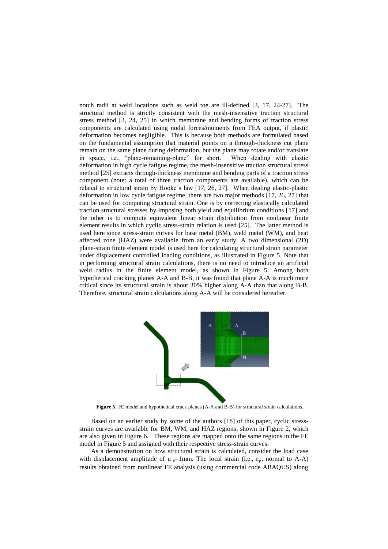notch radii at weld locations such as weld toe are ill-defined [3, 17, 24-27]. The structural method is strictly consistent with the mesh-insensitive traction structural stress method [3, 24, 25] in which membrane and bending forms of traction stress components are calculated using nodal forces/moments from FEA output, if plastic deformation becomes negligible. This is because both methods are formulated based on the fundamental assumption that material points on a through-thickness cut plane remain on the same plane during deformation, but the plane may rotate and/or translate in space, i.e., "plane-remaining-plane" for short. When dealing with elastic deformation in high cycle fatigue regime, the mesh-insensitive traction structural stress method [25] extracts through-thickness membrane and bending parts of a traction stress component (note: a total of three traction components are available), which can be related to structural strain by Hooke's law [17, 26, 27]. When dealing elastic-plastic deformation in low cycle fatigue regime, there are two major methods [17, 26, 27] that can be used for computing structural strain. One is by correcting elastically calculated traction structural stresses by imposing both yield and equilibrium conditions [17] and the other is to compute equivalent linear strain distribution from nonlinear finite element results in which cyclic stress-strain relation is used [25]. The latter method is used here since stress-strain curves for base metal (BM), weld metal (WM), and heat affected zone (HAZ) were available from an early study. A two dimensional (2D) plane-strain finite element model is used here for calculating structural strain parameter under displacement controlled loading conditions, as illustrated in Figure 5. Note that in performing structural strain calculations, there is no need to introduce an artificial weld radius in the finite element model, as shown in Figure 5. Among both hypothetical cracking planes A-A and B-B, it was found that plane A-A is much more critical since its structural strain is about 30% higher along A-A than that along B-B. Therefore, structural strain calculations along A-A will be considered hereafter.



**Figure 5.** FE model and hypothetical crack planes (A-A and B-B) for structural strain calculations.

Based on an earlier study by some of the authors [18] of this paper, cyclic stressstrain curves are available for BM, WM, and HAZ regions, shown in Figure 2, which are also given in Figure 6. These regions are mapped onto the same regions in the FE model in Figure 5 and assigned with their respective stress-strain curves.

As a demonstration on how structural strain is calculated, consider the load case with displacement amplitude of  $u_a=1$ mm. The local strain (i.e.,  $\varepsilon_v$ , normal to A-A) results obtained from nonlinear FE analysis (using commercial code ABAQUS) along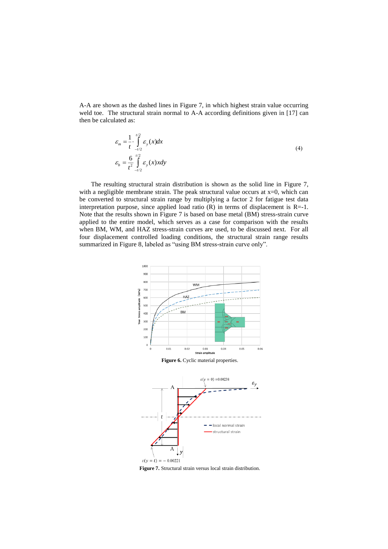A-A are shown as the dashed lines in Figure 7, in which highest strain value occurring weld toe. The structural strain normal to A-A according definitions given in [17] can then be calculated as:

$$
\varepsilon_m = \frac{1}{t} \cdot \int_{-t/2}^{t/2} \varepsilon_y(x) dx
$$
\n
$$
\varepsilon_b = \frac{6}{t^2} \int_{-t/2}^{t/2} \varepsilon_y(x) x dy
$$
\n(4)

The resulting structural strain distribution is shown as the solid line in Figure 7, with a negligible membrane strain. The peak structural value occurs at  $x=0$ , which can be converted to structural strain range by multiplying a factor 2 for fatigue test data interpretation purpose, since applied load ratio  $(R)$  in terms of displacement is  $R=1$ . Note that the results shown in Figure 7 is based on base metal (BM) stress-strain curve applied to the entire model, which serves as a case for comparison with the results when BM, WM, and HAZ stress-strain curves are used, to be discussed next. For all four displacement controlled loading conditions, the structural strain range results summarized in Figure 8, labeled as "using BM stress-strain curve only".



**Figure 7.** Structural strain versus local strain distribution.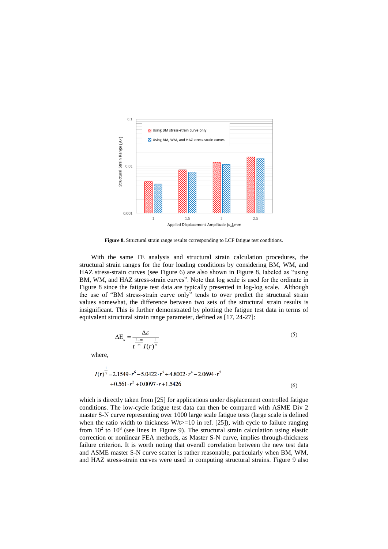

**Figure 8.** Structural strain range results corresponding to LCF fatigue test conditions.

With the same FE analysis and structural strain calculation procedures, the structural strain ranges for the four loading conditions by considering BM, WM, and HAZ stress-strain curves (see Figure 6) are also shown in Figure 8, labeled as "using BM, WM, and HAZ stress-strain curves". Note that log scale is used for the ordinate in Figure 8 since the fatigue test data are typically presented in log-log scale. Although the use of "BM stress-strain curve only" tends to over predict the structural strain values somewhat, the difference between two sets of the structural strain results is insignificant. This is further demonstrated by plotting the fatigue test data in terms of equivalent structural strain range parameter, defined as [17, 24-27]:

$$
\Delta E_s = \frac{\Delta \mathcal{E}}{t^{\frac{2-m}{m}} I(r)^{\frac{1}{m}}}
$$
\n(5)

where,

$$
I(r)^{\overline{m}} = 2.1549 \cdot r^6 - 5.0422 \cdot r^5 + 4.8002 \cdot r^4 - 2.0694 \cdot r^3
$$
  
+ 0.561 \cdot r^2 + 0.0097 \cdot r + 1.5426 (6)

which is directly taken from [25] for applications under displacement controlled fatigue conditions. The low-cycle fatigue test data can then be compared with ASME Div 2 master S-N curve representing over 1000 large scale fatigue tests (large scale is defined when the ratio width to thickness  $W/t \geq 10$  in ref. [25]), with cycle to failure ranging from  $10<sup>2</sup>$  to  $10<sup>8</sup>$  (see lines in Figure 9). The structural strain calculation using elastic correction or nonlinear FEA methods, as Master S-N curve, implies through-thickness failure criterion. It is worth noting that overall correlation between the new test data and ASME master S-N curve scatter is rather reasonable, particularly when BM, WM, and HAZ stress-strain curves were used in computing structural strains. Figure 9 also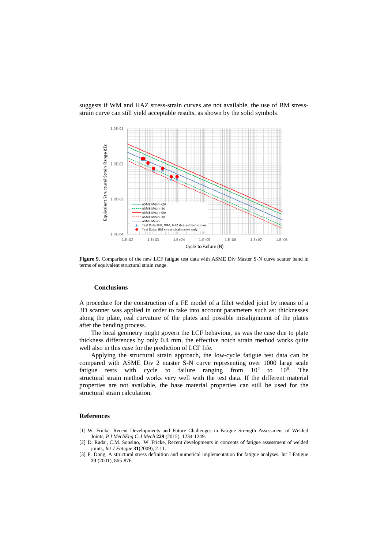suggests if WM and HAZ stress-strain curves are not available, the use of BM stressstrain curve can still yield acceptable results, as shown by the solid symbols.



**Figure 9.** Comparison of the new LCF fatigue test data with ASME Div Master S-N curve scatter band in terms of equivalent structural strain range.

#### **Conclusions**

A procedure for the construction of a FE model of a fillet welded joint by means of a 3D scanner was applied in order to take into account parameters such as: thicknesses along the plate, real curvature of the plates and possible misalignment of the plates after the bending process.

The local geometry might govern the LCF behaviour, as was the case due to plate thickness differences by only 0.4 mm, the effective notch strain method works quite well also in this case for the prediction of LCF life.

Applying the structural strain approach, the low-cycle fatigue test data can be compared with ASME Div 2 master S-N curve representing over 1000 large scale fatigue tests with cycle to failure ranging from  $10^2$  to  $10^8$ . The structural strain method works very well with the test data. If the different material properties are not available, the base material properties can still be used for the structural strain calculation.

#### **References**

- [1] W. Fricke. Recent Developments and Future Challenges in Fatigue Strength Assessment of Welded Joints, *P I MechEng C-J Mech* **229** (2015), 1234-1249.
- [2] D. Radaj, C.M. Sonsino, W. Fricke, Recent developments in concepts of fatigue assessment of welded joints, *Int J Fatigue* **31**(2009), 2-11.
- [3] P. Dong, A structural stress definition and numerical implementation for fatigue analyses. Int J Fatigue **23** (2001), 865-876.